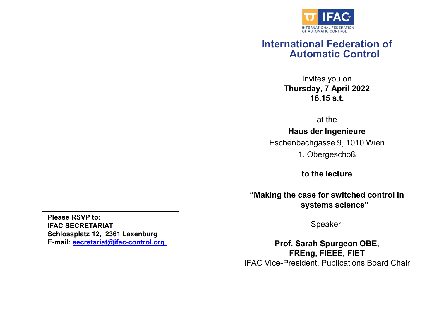

## International Federation of Automatic Control **THACTEDERATOR**<br>
OF AUTOMAL FEDERATION<br> **ON AUTOMATIC CONTROL**<br> **ON INVITES YOU ON STARY, 7 April 2022**<br>
16.15 s.t. **EXPRESIDENT CONTROL**<br>
I**ION AUTHROLET CONTROL**<br> **IION AUTOR SCILLAR SUBSET ON TRISLAND SPACE CONTROL**<br>
INVITES YOU ON<br>
ITS SAY, 7 April 2022<br>
16.15 s.t.<br>
at the<br>
us der Ingenieure<br>
pachgasse 9, 1010 Wien<br>
1. Obergeschoß<br> ional Federation of<br>
invites you on<br>
sday, 7 April 2022<br>
16.15 s.t.<br>
at the<br>
us der Ingenieure<br>
achgasse 9, 1010 Wien<br>
. Obergeschoß<br>
to the lecture<br>
ase for switched control in<br>
systems science"

Thursday, 7 April 2022 16.15 s.t.

at the

Haus der Ingenieure

Eschenbachgasse 9, 1010 Wien

"Making the case for switched control in systems science"

Speaker:

Prof. Sarah Spurgeon OBE, FREng, FIEEE, FIET IFAC Vice-President, Publications Board Chair

Please RSVP to:<br>IFAC SECRETARIAT<br>Schlossplatz 12, 2361 Laxenburg<br>E-mail: <u>secretariat@ifac-control.org</u> IFAC SECRETARIAT Schlossplatz 12, 2361 Laxenburg E-mail: secretariat@ifac-control.org